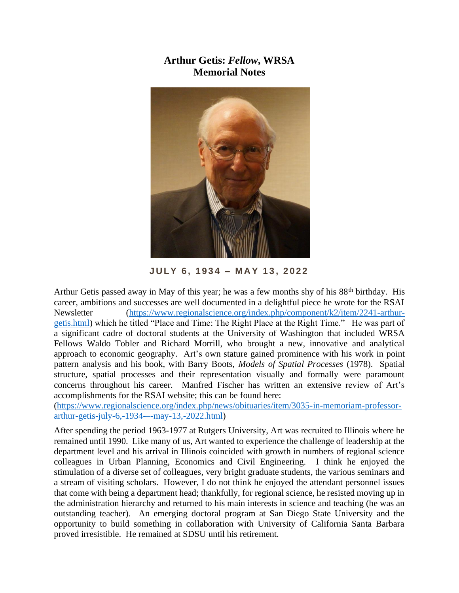## **Arthur Getis:** *Fellow***, WRSA Memorial Notes**



**J U LY 6 , 1 9 3 4 – M A Y 1 3 , 2 0 2 2**

Arthur Getis passed away in May of this year; he was a few months shy of his 88th birthday. His career, ambitions and successes are well documented in a delightful piece he wrote for the RSAI Newsletter [\(https://www.regionalscience.org/index.php/component/k2/item/2241-arthur](https://www.regionalscience.org/index.php/component/k2/item/2241-arthur-getis.html)[getis.html\)](https://www.regionalscience.org/index.php/component/k2/item/2241-arthur-getis.html) which he titled "Place and Time: The Right Place at the Right Time." He was part of a significant cadre of doctoral students at the University of Washington that included WRSA Fellows Waldo Tobler and Richard Morrill, who brought a new, innovative and analytical approach to economic geography. Art's own stature gained prominence with his work in point pattern analysis and his book, with Barry Boots, *Models of Spatial Processes* (1978). Spatial structure, spatial processes and their representation visually and formally were paramount concerns throughout his career. Manfred Fischer has written an extensive review of Art's accomplishments for the RSAI website; this can be found here:

[\(https://www.regionalscience.org/index.php/news/obituaries/item/3035-in-memoriam-professor](https://www.regionalscience.org/index.php/news/obituaries/item/3035-in-memoriam-professor-arthur-getis-july-6,-1934-–-may-13,-2022.html)[arthur-getis-july-6,-1934-–-may-13,-2022.html\)](https://www.regionalscience.org/index.php/news/obituaries/item/3035-in-memoriam-professor-arthur-getis-july-6,-1934-–-may-13,-2022.html)

After spending the period 1963-1977 at Rutgers University, Art was recruited to Illinois where he remained until 1990. Like many of us, Art wanted to experience the challenge of leadership at the department level and his arrival in Illinois coincided with growth in numbers of regional science colleagues in Urban Planning, Economics and Civil Engineering. I think he enjoyed the stimulation of a diverse set of colleagues, very bright graduate students, the various seminars and a stream of visiting scholars. However, I do not think he enjoyed the attendant personnel issues that come with being a department head; thankfully, for regional science, he resisted moving up in the administration hierarchy and returned to his main interests in science and teaching (he was an outstanding teacher). An emerging doctoral program at San Diego State University and the opportunity to build something in collaboration with University of California Santa Barbara proved irresistible. He remained at SDSU until his retirement.